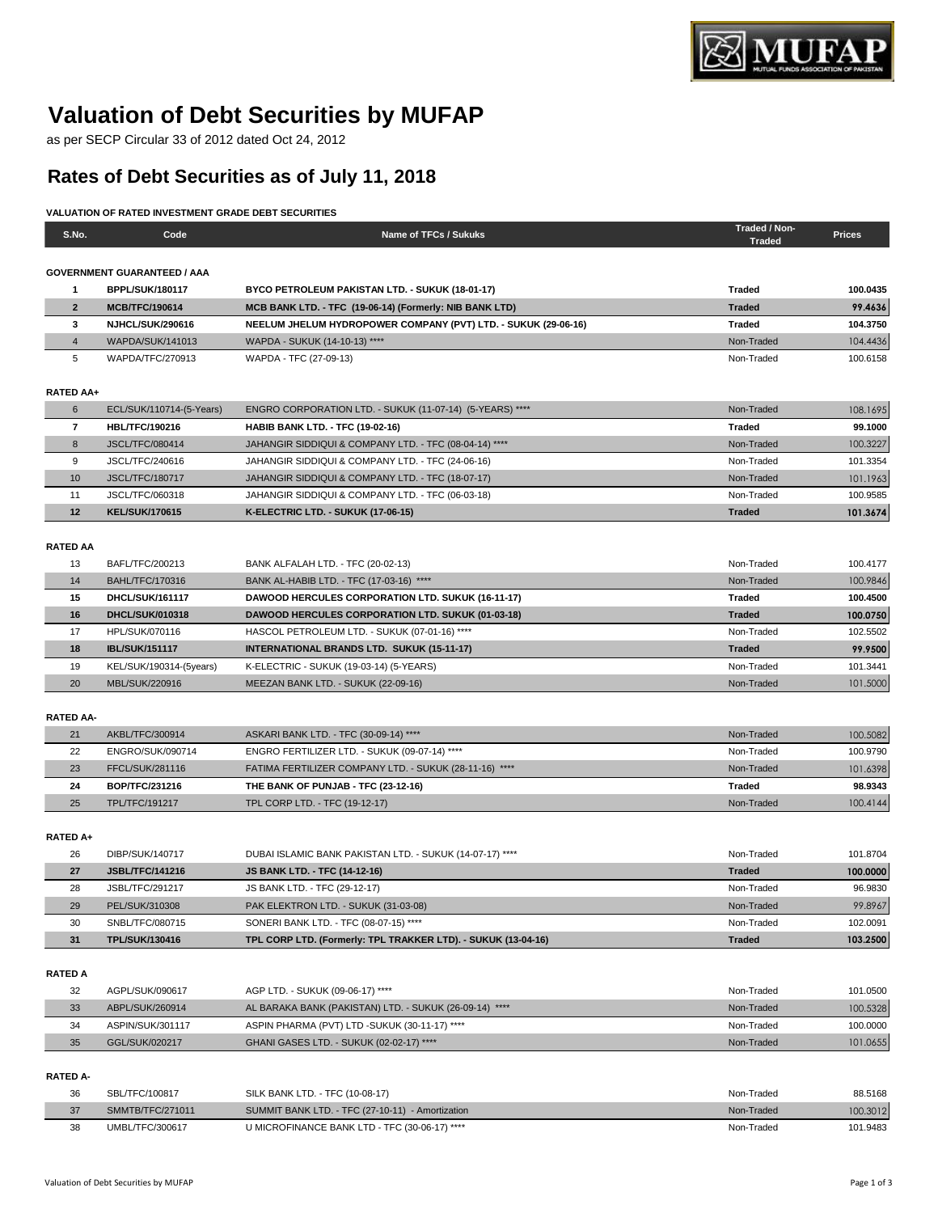

## **Valuation of Debt Securities by MUFAP**

as per SECP Circular 33 of 2012 dated Oct 24, 2012

## **Rates of Debt Securities as of July 11, 2018**

## **VALUATION OF RATED INVESTMENT GRADE DEBT SECURITIES**

| S.No.            | Code                               | Name of TFCs / Sukuks                                                                   | Traded / Non-<br><b>Traded</b> | <b>Prices</b> |
|------------------|------------------------------------|-----------------------------------------------------------------------------------------|--------------------------------|---------------|
|                  |                                    |                                                                                         |                                |               |
|                  | <b>GOVERNMENT GUARANTEED / AAA</b> |                                                                                         |                                |               |
| $\mathbf{1}$     | <b>BPPL/SUK/180117</b>             | BYCO PETROLEUM PAKISTAN LTD. - SUKUK (18-01-17)                                         | <b>Traded</b>                  | 100.0435      |
| $\overline{2}$   | <b>MCB/TFC/190614</b>              | MCB BANK LTD. - TFC (19-06-14) (Formerly: NIB BANK LTD)                                 | <b>Traded</b>                  | 99.4636       |
| 3                | <b>NJHCL/SUK/290616</b>            | NEELUM JHELUM HYDROPOWER COMPANY (PVT) LTD. - SUKUK (29-06-16)                          | <b>Traded</b>                  | 104.3750      |
| $\overline{4}$   | WAPDA/SUK/141013                   | WAPDA - SUKUK (14-10-13) ****                                                           | Non-Traded                     | 104.4436      |
| 5                | WAPDA/TFC/270913                   | WAPDA - TFC (27-09-13)                                                                  | Non-Traded                     | 100.6158      |
|                  |                                    |                                                                                         |                                |               |
| <b>RATED AA+</b> |                                    |                                                                                         |                                |               |
| 6                | ECL/SUK/110714-(5-Years)           | ENGRO CORPORATION LTD. - SUKUK (11-07-14) (5-YEARS) ****                                | Non-Traded                     | 108.1695      |
| $\overline{7}$   | <b>HBL/TFC/190216</b>              | <b>HABIB BANK LTD. - TFC (19-02-16)</b>                                                 | <b>Traded</b>                  | 99.1000       |
| 8                | <b>JSCL/TFC/080414</b>             | JAHANGIR SIDDIQUI & COMPANY LTD. - TFC (08-04-14) ****                                  | Non-Traded                     | 100.3227      |
| 9                | JSCL/TFC/240616                    | JAHANGIR SIDDIQUI & COMPANY LTD. - TFC (24-06-16)                                       | Non-Traded                     | 101.3354      |
| 10               | <b>JSCL/TFC/180717</b>             | JAHANGIR SIDDIQUI & COMPANY LTD. - TFC (18-07-17)                                       | Non-Traded                     | 101.1963      |
| 11               | JSCL/TFC/060318                    | JAHANGIR SIDDIQUI & COMPANY LTD. - TFC (06-03-18)                                       | Non-Traded                     | 100.9585      |
| 12               | <b>KEL/SUK/170615</b>              | K-ELECTRIC LTD. - SUKUK (17-06-15)                                                      | <b>Traded</b>                  | 101.3674      |
|                  |                                    |                                                                                         |                                |               |
| <b>RATED AA</b>  |                                    |                                                                                         |                                |               |
| 13               | BAFL/TFC/200213                    | BANK ALFALAH LTD. - TFC (20-02-13)                                                      | Non-Traded                     | 100.4177      |
| 14               | <b>BAHL/TFC/170316</b>             | BANK AL-HABIB LTD. - TFC (17-03-16) ****                                                | Non-Traded                     | 100.9846      |
| 15               | DHCL/SUK/161117                    | DAWOOD HERCULES CORPORATION LTD. SUKUK (16-11-17)                                       | Traded                         | 100.4500      |
| 16               | <b>DHCL/SUK/010318</b>             | <b>DAWOOD HERCULES CORPORATION LTD. SUKUK (01-03-18)</b>                                | <b>Traded</b>                  | 100.0750      |
| 17               | HPL/SUK/070116                     | HASCOL PETROLEUM LTD. - SUKUK (07-01-16) ****                                           | Non-Traded                     | 102.5502      |
| 18               | <b>IBL/SUK/151117</b>              | <b>INTERNATIONAL BRANDS LTD. SUKUK (15-11-17)</b>                                       | <b>Traded</b>                  | 99.9500       |
| 19               | KEL/SUK/190314-(5years)            | K-ELECTRIC - SUKUK (19-03-14) (5-YEARS)                                                 | Non-Traded                     | 101.3441      |
| 20               | MBL/SUK/220916                     | MEEZAN BANK LTD. - SUKUK (22-09-16)                                                     | Non-Traded                     | 101.5000      |
|                  |                                    |                                                                                         |                                |               |
| <b>RATED AA-</b> |                                    |                                                                                         |                                |               |
| 21               | AKBL/TFC/300914                    | ASKARI BANK LTD. - TFC (30-09-14) ****<br>ENGRO FERTILIZER LTD. - SUKUK (09-07-14) **** | Non-Traded                     | 100.5082      |
| 22               | ENGRO/SUK/090714                   |                                                                                         | Non-Traded                     | 100.9790      |
| 23               | FFCL/SUK/281116                    | FATIMA FERTILIZER COMPANY LTD. - SUKUK (28-11-16) ****                                  | Non-Traded                     | 101.6398      |
| 24<br>25         | BOP/TFC/231216                     | THE BANK OF PUNJAB - TFC (23-12-16)                                                     | Traded                         | 98.9343       |
|                  | <b>TPL/TFC/191217</b>              | TPL CORP LTD. - TFC (19-12-17)                                                          | Non-Traded                     | 100.4144      |
| RATED A+         |                                    |                                                                                         |                                |               |
| 26               | DIBP/SUK/140717                    | DUBAI ISLAMIC BANK PAKISTAN LTD. - SUKUK (14-07-17) ****                                | Non-Traded                     | 101.8704      |
| 27               | <b>JSBL/TFC/141216</b>             | <b>JS BANK LTD. - TFC (14-12-16)</b>                                                    | <b>Traded</b>                  | 100.0000      |
| 28               | JSBL/TFC/291217                    | JS BANK LTD. - TFC (29-12-17)                                                           | Non-Traded                     | 96.9830       |
| 29               | PEL/SUK/310308                     | PAK ELEKTRON LTD. - SUKUK (31-03-08)                                                    | Non-Traded                     | 99.8967       |
| 30               | SNBL/TFC/080715                    | SONERI BANK LTD. - TFC (08-07-15) ****                                                  | Non-Traded                     | 102.0091      |
| 31               | <b>TPL/SUK/130416</b>              | TPL CORP LTD. (Formerly: TPL TRAKKER LTD). - SUKUK (13-04-16)                           | <b>Traded</b>                  | 103.2500      |
|                  |                                    |                                                                                         |                                |               |
| <b>RATED A</b>   |                                    |                                                                                         |                                |               |
| 32               | AGPL/SUK/090617                    | AGP LTD. - SUKUK (09-06-17) ****                                                        | Non-Traded                     | 101.0500      |
| 33               | ABPL/SUK/260914                    | AL BARAKA BANK (PAKISTAN) LTD. - SUKUK (26-09-14) ****                                  | Non-Traded                     | 100.5328      |
| 34               | ASPIN/SUK/301117                   | ASPIN PHARMA (PVT) LTD -SUKUK (30-11-17) ****                                           | Non-Traded                     | 100.0000      |
| 35               | GGL/SUK/020217                     | GHANI GASES LTD. - SUKUK (02-02-17) ****                                                | Non-Traded                     | 101.0655      |
|                  |                                    |                                                                                         |                                |               |
| <b>RATED A-</b>  |                                    |                                                                                         |                                |               |
| 36               | SBL/TFC/100817                     | SILK BANK LTD. - TFC (10-08-17)                                                         | Non-Traded                     | 88.5168       |
| 37               | SMMTB/TFC/271011                   | SUMMIT BANK LTD. - TFC (27-10-11) - Amortization                                        | Non-Traded                     | 100.3012      |
| 38               | UMBL/TFC/300617                    | U MICROFINANCE BANK LTD - TFC (30-06-17) ****                                           | Non-Traded                     | 101.9483      |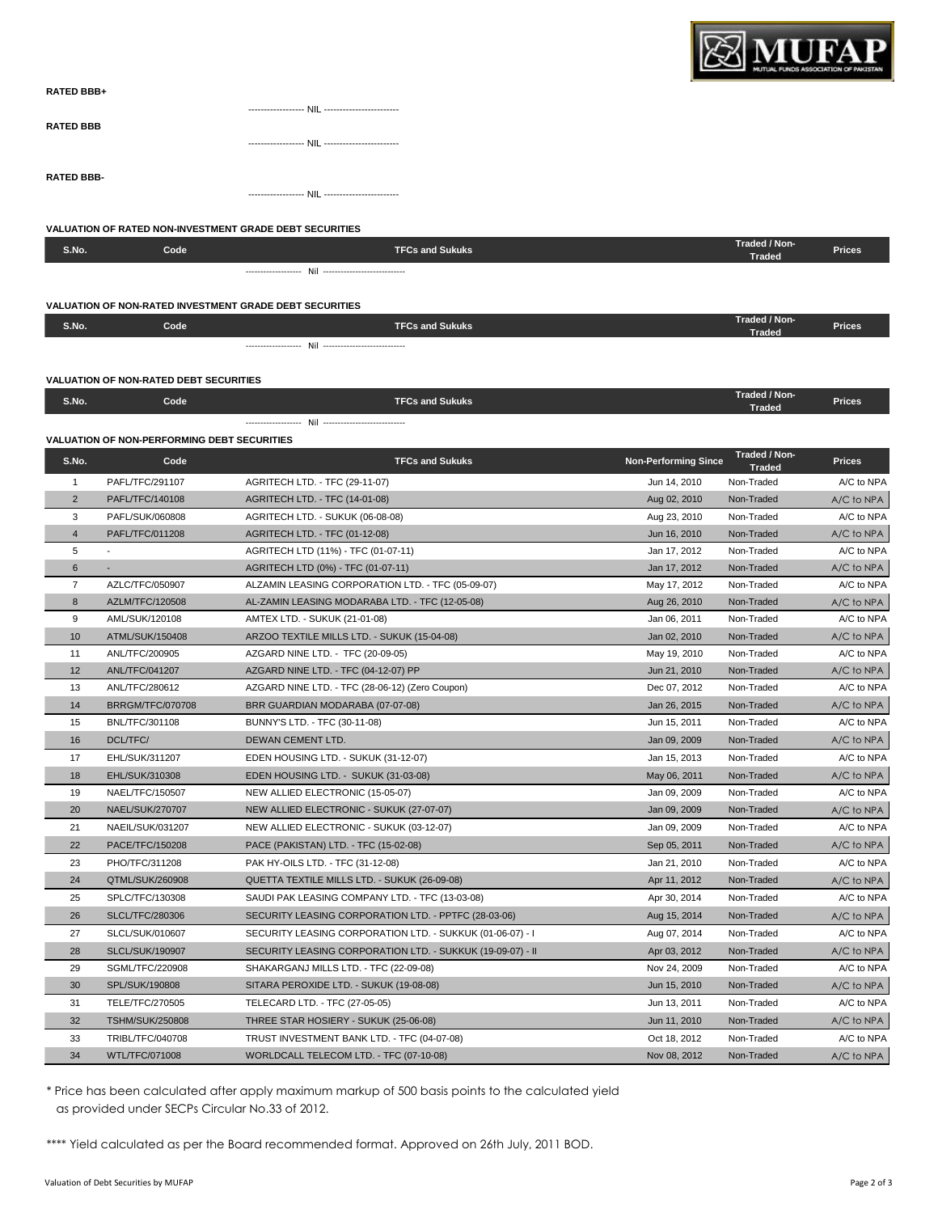

| <b>RATED BBB+</b> |  |
|-------------------|--|
|                   |  |
| <b>RATED BBB</b>  |  |
|                   |  |
|                   |  |
| <b>RATED BBB-</b> |  |
|                   |  |

|                |                                                    | <b>VALUATION OF RATED NON-INVESTMENT GRADE DEBT SECURITIES</b> |                             |                             |               |
|----------------|----------------------------------------------------|----------------------------------------------------------------|-----------------------------|-----------------------------|---------------|
| S.No.          | Code                                               | <b>TFCs and Sukuks</b>                                         |                             | Traded / Non-               | <b>Prices</b> |
|                |                                                    |                                                                |                             | <b>Traded</b>               |               |
|                |                                                    |                                                                |                             |                             |               |
|                |                                                    |                                                                |                             |                             |               |
|                |                                                    | <b>VALUATION OF NON-RATED INVESTMENT GRADE DEBT SECURITIES</b> |                             | Traded / Non-               |               |
| S.No.          | Code                                               | <b>TFCs and Sukuks</b>                                         |                             | <b>Traded</b>               | <b>Prices</b> |
|                |                                                    |                                                                |                             |                             |               |
|                |                                                    |                                                                |                             |                             |               |
|                | <b>VALUATION OF NON-RATED DEBT SECURITIES</b>      |                                                                |                             | Traded / Non-               |               |
| S.No.          | Code                                               | <b>TFCs and Sukuks</b>                                         |                             | <b>Traded</b>               | <b>Prices</b> |
|                |                                                    |                                                                |                             |                             |               |
|                | <b>VALUATION OF NON-PERFORMING DEBT SECURITIES</b> |                                                                |                             |                             |               |
| S.No.          | Code                                               | <b>TFCs and Sukuks</b>                                         | <b>Non-Performing Since</b> | Traded / Non-               | <b>Prices</b> |
| $\mathbf{1}$   | PAFL/TFC/291107                                    | AGRITECH LTD. - TFC (29-11-07)                                 | Jun 14, 2010                | <b>Traded</b><br>Non-Traded | A/C to NPA    |
| 2              | PAFL/TFC/140108                                    | AGRITECH LTD. - TFC (14-01-08)                                 | Aug 02, 2010                | Non-Traded                  | A/C to NPA    |
| 3              | PAFL/SUK/060808                                    | AGRITECH LTD. - SUKUK (06-08-08)                               | Aug 23, 2010                | Non-Traded                  | A/C to NPA    |
| $\overline{4}$ | PAFL/TFC/011208                                    | AGRITECH LTD. - TFC (01-12-08)                                 | Jun 16, 2010                | Non-Traded                  | A/C to NPA    |
| 5              |                                                    | AGRITECH LTD (11%) - TFC (01-07-11)                            | Jan 17, 2012                | Non-Traded                  | A/C to NPA    |
| 6              |                                                    | AGRITECH LTD (0%) - TFC (01-07-11)                             | Jan 17, 2012                | Non-Traded                  | A/C to NPA    |
| $\overline{7}$ | AZLC/TFC/050907                                    | ALZAMIN LEASING CORPORATION LTD. - TFC (05-09-07)              | May 17, 2012                | Non-Traded                  | A/C to NPA    |
| 8              | AZLM/TFC/120508                                    | AL-ZAMIN LEASING MODARABA LTD. - TFC (12-05-08)                | Aug 26, 2010                | Non-Traded                  | A/C to NPA    |
| 9              | AML/SUK/120108                                     | AMTEX LTD. - SUKUK (21-01-08)                                  | Jan 06, 2011                | Non-Traded                  | A/C to NPA    |
| 10             | ATML/SUK/150408                                    | ARZOO TEXTILE MILLS LTD. - SUKUK (15-04-08)                    | Jan 02, 2010                | Non-Traded                  | A/C to NPA    |
| 11             | ANL/TFC/200905                                     | AZGARD NINE LTD. - TFC (20-09-05)                              | May 19, 2010                | Non-Traded                  | A/C to NPA    |
| 12             | ANL/TFC/041207                                     | AZGARD NINE LTD. - TFC (04-12-07) PP                           | Jun 21, 2010                | Non-Traded                  | A/C to NPA    |
| 13             | ANL/TFC/280612                                     | AZGARD NINE LTD. - TFC (28-06-12) (Zero Coupon)                | Dec 07, 2012                | Non-Traded                  | A/C to NPA    |
| 14             | <b>BRRGM/TFC/070708</b>                            | BRR GUARDIAN MODARABA (07-07-08)                               | Jan 26, 2015                | Non-Traded                  | A/C to NPA    |
| 15             | BNL/TFC/301108                                     | BUNNY'S LTD. - TFC (30-11-08)                                  | Jun 15, 2011                | Non-Traded                  | A/C to NPA    |
| 16             | DCL/TFC/                                           | DEWAN CEMENT LTD.                                              | Jan 09, 2009                | Non-Traded                  | A/C to NPA    |
| 17             | EHL/SUK/311207                                     | EDEN HOUSING LTD. - SUKUK (31-12-07)                           | Jan 15, 2013                | Non-Traded                  | A/C to NPA    |
| 18             | EHL/SUK/310308                                     | EDEN HOUSING LTD. - SUKUK (31-03-08)                           | May 06, 2011                | Non-Traded                  | A/C to NPA    |
| 19             | NAEL/TFC/150507                                    | NEW ALLIED ELECTRONIC (15-05-07)                               | Jan 09, 2009                | Non-Traded                  | A/C to NPA    |
| 20             | NAEL/SUK/270707                                    | NEW ALLIED ELECTRONIC - SUKUK (27-07-07)                       | Jan 09, 2009                | Non-Traded                  | A/C to NPA    |
| 21             | NAEIL/SUK/031207                                   | NEW ALLIED ELECTRONIC - SUKUK (03-12-07)                       | Jan 09, 2009                | Non-Traded                  | A/C to NPA    |
| 22             | PACE/TFC/150208                                    | PACE (PAKISTAN) LTD. - TFC (15-02-08)                          | Sep 05, 2011                | Non-Traded                  | A/C to NPA    |
| 23             | PHO/TFC/311208                                     | PAK HY-OILS LTD. - TFC (31-12-08)                              | Jan 21, 2010                | Non-Traded                  | A/C to NPA    |
| 24             | QTML/SUK/260908                                    | QUETTA TEXTILE MILLS LTD. - SUKUK (26-09-08)                   | Apr 11, 2012                | Non-Traded                  | A/C to NPA    |
| 25             | SPLC/TFC/130308                                    | SAUDI PAK LEASING COMPANY LTD. - TFC (13-03-08)                | Apr 30, 2014                | Non-Traded                  | A/C to NPA    |
| 26             | SLCL/TFC/280306                                    | SECURITY LEASING CORPORATION LTD. - PPTFC (28-03-06)           | Aug 15, 2014                | Non-Traded                  | A/C to NPA    |
| 27             | SLCL/SUK/010607                                    | SECURITY LEASING CORPORATION LTD. - SUKKUK (01-06-07) - I      | Aug 07, 2014                | Non-Traded                  | A/C to NPA    |

28 SLCL/SUK/190907 SECURITY LEASING CORPORATION LTD. - SUKKUK (19-09-07) - II Apr 03, 2012 Non-Traded A/C to NPA 29 SGML/TFC/220908 SHAKARGANJ MILLS LTD. - TFC (22-09-08) Nov 24, 2009 Non-Traded A/C to NPA 30 SPL/SUK/190808 SITARA PEROXIDE LTD. - SUKUK (19-08-08) Jun 15, 2010 Non-Traded A/C to NPA 31 TELE/TFC/270505 TELECARD LTD. - TFC (27-05-05) 31 Jun 13, 2011 Non-Traded A/C to NPA 32 TSHM/SUK/250808 THREE STAR HOSIERY - SUKUK (25-06-08) Jun 11, 2010 Non-Traded A/C to NPA 33 TRIBL/TFC/040708 TRUST INVESTMENT BANK LTD. - TFC (04-07-08) Oct 18, 2012 Non-Traded A/C to NPA 34 WTL/TFC/071008 WORLDCALL TELECOM LTD. - TFC (07-10-08) Nov 08, 2012 Non-Traded A/C to NPA

\* Price has been calculated after apply maximum markup of 500 basis points to the calculated yield as provided under SECPs Circular No.33 of 2012.

\*\*\*\* Yield calculated as per the Board recommended format. Approved on 26th July, 2011 BOD.